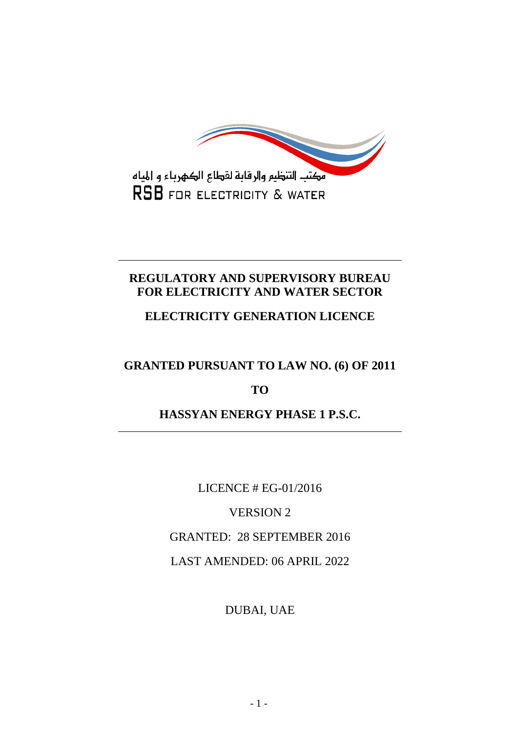

# **REGULATORY AND SUPERVISORY BUREAU FOR ELECTRICITY AND WATER SECTOR**

# **ELECTRICITY GENERATION LICENCE**

# **GRANTED PURSUANT TO LAW NO. (6) OF 2011**

## **TO**

# **HASSYAN ENERGY PHASE 1 P.S.C.**

LICENCE # EG-01/2016

VERSION 2

GRANTED: 28 SEPTEMBER 2016

LAST AMENDED: 06 APRIL 2022

DUBAI, UAE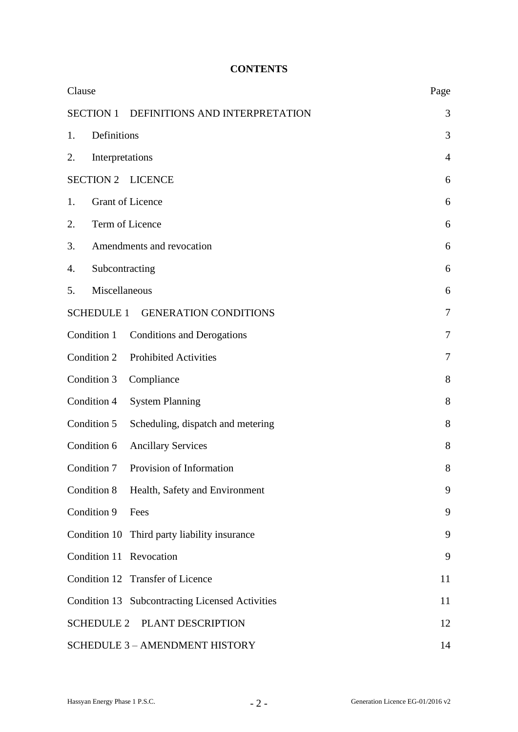## **CONTENTS**

| Clause                                             | Page           |  |
|----------------------------------------------------|----------------|--|
| <b>SECTION 1</b><br>DEFINITIONS AND INTERPRETATION | 3              |  |
| Definitions<br>1.                                  | 3              |  |
| Interpretations<br>2.                              | $\overline{4}$ |  |
| <b>SECTION 2</b><br><b>LICENCE</b>                 | 6              |  |
| <b>Grant of Licence</b><br>1.                      |                |  |
| Term of Licence<br>2.                              |                |  |
| Amendments and revocation<br>3.                    |                |  |
| Subcontracting<br>4.                               |                |  |
| Miscellaneous<br>5.                                | 6              |  |
| SCHEDULE 1 GENERATION CONDITIONS                   | 7              |  |
| Condition 1<br><b>Conditions and Derogations</b>   | 7              |  |
| Condition 2<br><b>Prohibited Activities</b>        | 7              |  |
| Condition 3<br>Compliance                          | 8              |  |
| Condition 4<br><b>System Planning</b>              | 8              |  |
| Condition 5<br>Scheduling, dispatch and metering   | 8              |  |
| Condition 6<br><b>Ancillary Services</b>           | 8              |  |
| Provision of Information<br>Condition 7            | 8              |  |
| Condition 8<br>Health, Safety and Environment      | 9              |  |
| Condition 9<br>Fees                                | 9              |  |
| Condition 10 Third party liability insurance       | 9              |  |
| Condition 11 Revocation                            | 9              |  |
| Condition 12 Transfer of Licence                   | 11             |  |
| Condition 13 Subcontracting Licensed Activities    | 11             |  |
| <b>SCHEDULE 2</b><br>PLANT DESCRIPTION             | 12             |  |
| <b>SCHEDULE 3 - AMENDMENT HISTORY</b>              | 14             |  |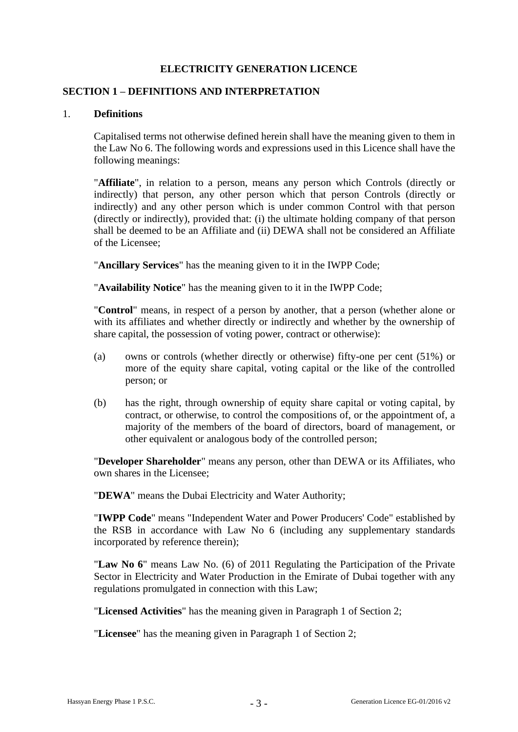### **ELECTRICITY GENERATION LICENCE**

#### **SECTION 1 – DEFINITIONS AND INTERPRETATION**

#### 1. **Definitions**

Capitalised terms not otherwise defined herein shall have the meaning given to them in the Law No 6. The following words and expressions used in this Licence shall have the following meanings:

"**Affiliate**", in relation to a person, means any person which Controls (directly or indirectly) that person, any other person which that person Controls (directly or indirectly) and any other person which is under common Control with that person (directly or indirectly), provided that: (i) the ultimate holding company of that person shall be deemed to be an Affiliate and (ii) DEWA shall not be considered an Affiliate of the Licensee;

"**Ancillary Services**" has the meaning given to it in the IWPP Code;

"**Availability Notice**" has the meaning given to it in the IWPP Code;

"**Control**" means, in respect of a person by another, that a person (whether alone or with its affiliates and whether directly or indirectly and whether by the ownership of share capital, the possession of voting power, contract or otherwise):

- (a) owns or controls (whether directly or otherwise) fifty-one per cent (51%) or more of the equity share capital, voting capital or the like of the controlled person; or
- (b) has the right, through ownership of equity share capital or voting capital, by contract, or otherwise, to control the compositions of, or the appointment of, a majority of the members of the board of directors, board of management, or other equivalent or analogous body of the controlled person;

"**Developer Shareholder**" means any person, other than DEWA or its Affiliates, who own shares in the Licensee;

"**DEWA**" means the Dubai Electricity and Water Authority;

"**IWPP Code**" means "Independent Water and Power Producers' Code" established by the RSB in accordance with Law No 6 (including any supplementary standards incorporated by reference therein);

"**Law No 6**" means Law No. (6) of 2011 Regulating the Participation of the Private Sector in Electricity and Water Production in the Emirate of Dubai together with any regulations promulgated in connection with this Law;

"**Licensed Activities**" has the meaning given in Paragraph 1 of Section 2;

"**Licensee**" has the meaning given in Paragraph 1 of Section 2;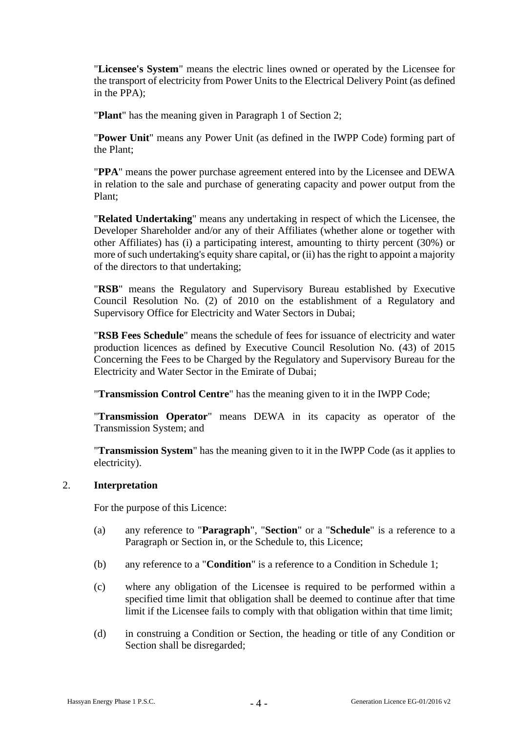"**Licensee's System**" means the electric lines owned or operated by the Licensee for the transport of electricity from Power Units to the Electrical Delivery Point (as defined in the PPA);

"**Plant**" has the meaning given in Paragraph 1 of Section 2;

"**Power Unit**" means any Power Unit (as defined in the IWPP Code) forming part of the Plant;

"**PPA**" means the power purchase agreement entered into by the Licensee and DEWA in relation to the sale and purchase of generating capacity and power output from the Plant;

"**Related Undertaking**" means any undertaking in respect of which the Licensee, the Developer Shareholder and/or any of their Affiliates (whether alone or together with other Affiliates) has (i) a participating interest, amounting to thirty percent (30%) or more of such undertaking's equity share capital, or (ii) has the right to appoint a majority of the directors to that undertaking;

"**RSB**" means the Regulatory and Supervisory Bureau established by Executive Council Resolution No. (2) of 2010 on the establishment of a Regulatory and Supervisory Office for Electricity and Water Sectors in Dubai;

"**RSB Fees Schedule**" means the schedule of fees for issuance of electricity and water production licences as defined by Executive Council Resolution No. (43) of 2015 Concerning the Fees to be Charged by the Regulatory and Supervisory Bureau for the Electricity and Water Sector in the Emirate of Dubai;

"**Transmission Control Centre**" has the meaning given to it in the IWPP Code;

"**Transmission Operator**" means DEWA in its capacity as operator of the Transmission System; and

"**Transmission System**" has the meaning given to it in the IWPP Code (as it applies to electricity).

#### 2. **Interpretation**

For the purpose of this Licence:

- (a) any reference to "**Paragraph**", "**Section**" or a "**Schedule**" is a reference to a Paragraph or Section in, or the Schedule to, this Licence;
- (b) any reference to a "**Condition**" is a reference to a Condition in Schedule 1;
- (c) where any obligation of the Licensee is required to be performed within a specified time limit that obligation shall be deemed to continue after that time limit if the Licensee fails to comply with that obligation within that time limit;
- (d) in construing a Condition or Section, the heading or title of any Condition or Section shall be disregarded;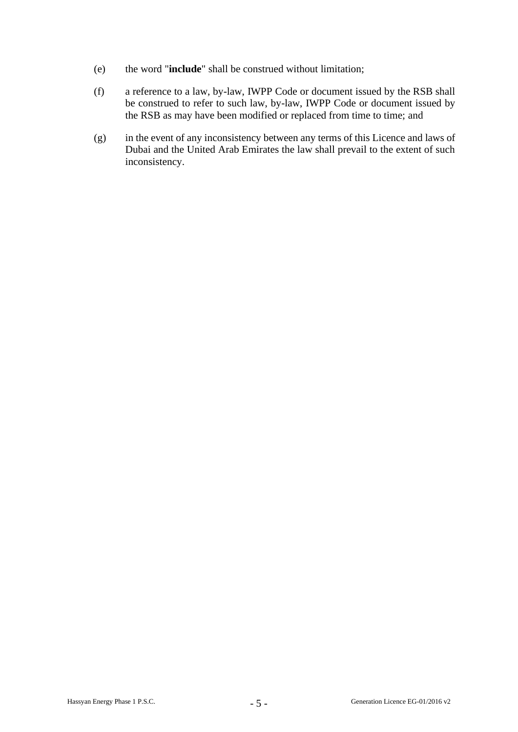- (e) the word "**include**" shall be construed without limitation;
- (f) a reference to a law, by-law, IWPP Code or document issued by the RSB shall be construed to refer to such law, by-law, IWPP Code or document issued by the RSB as may have been modified or replaced from time to time; and
- (g) in the event of any inconsistency between any terms of this Licence and laws of Dubai and the United Arab Emirates the law shall prevail to the extent of such inconsistency.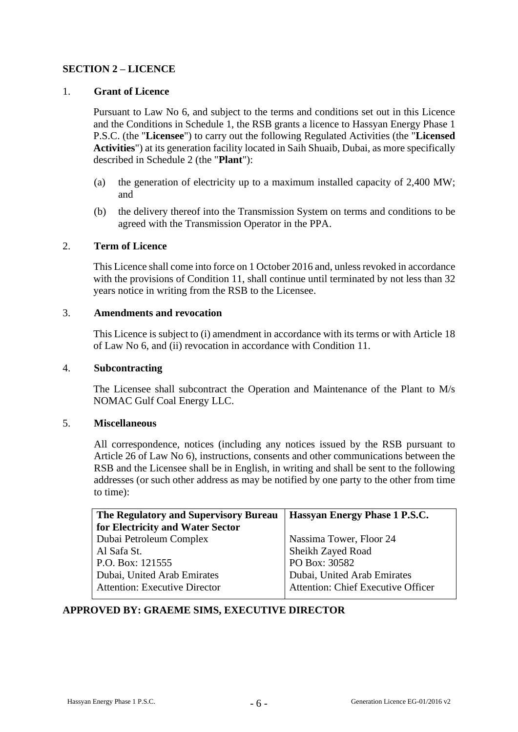## **SECTION 2 – LICENCE**

### 1. **Grant of Licence**

Pursuant to Law No 6, and subject to the terms and conditions set out in this Licence and the Conditions in Schedule 1, the RSB grants a licence to Hassyan Energy Phase 1 P.S.C. (the "**Licensee**") to carry out the following Regulated Activities (the "**Licensed Activities**") at its generation facility located in Saih Shuaib, Dubai, as more specifically described in Schedule 2 (the "**Plant**"):

- (a) the generation of electricity up to a maximum installed capacity of 2,400 MW; and
- (b) the delivery thereof into the Transmission System on terms and conditions to be agreed with the Transmission Operator in the PPA.

#### 2. **Term of Licence**

This Licence shall come into force on 1 October 2016 and, unless revoked in accordance with the provisions of Condition 11, shall continue until terminated by not less than 32 years notice in writing from the RSB to the Licensee.

#### 3. **Amendments and revocation**

This Licence is subject to (i) amendment in accordance with its terms or with Article 18 of Law No 6, and (ii) revocation in accordance with Condition 11.

#### 4. **Subcontracting**

The Licensee shall subcontract the Operation and Maintenance of the Plant to M/s NOMAC Gulf Coal Energy LLC.

#### 5. **Miscellaneous**

All correspondence, notices (including any notices issued by the RSB pursuant to Article 26 of Law No 6), instructions, consents and other communications between the RSB and the Licensee shall be in English, in writing and shall be sent to the following addresses (or such other address as may be notified by one party to the other from time to time):

| The Regulatory and Supervisory Bureau | Hassyan Energy Phase 1 P.S.C.             |
|---------------------------------------|-------------------------------------------|
| for Electricity and Water Sector      |                                           |
| Dubai Petroleum Complex               | Nassima Tower, Floor 24                   |
| Al Safa St.                           | Sheikh Zayed Road                         |
| P.O. Box: 121555                      | PO Box: 30582                             |
| Dubai, United Arab Emirates           | Dubai, United Arab Emirates               |
| <b>Attention: Executive Director</b>  | <b>Attention: Chief Executive Officer</b> |
|                                       |                                           |

## **APPROVED BY: GRAEME SIMS, EXECUTIVE DIRECTOR**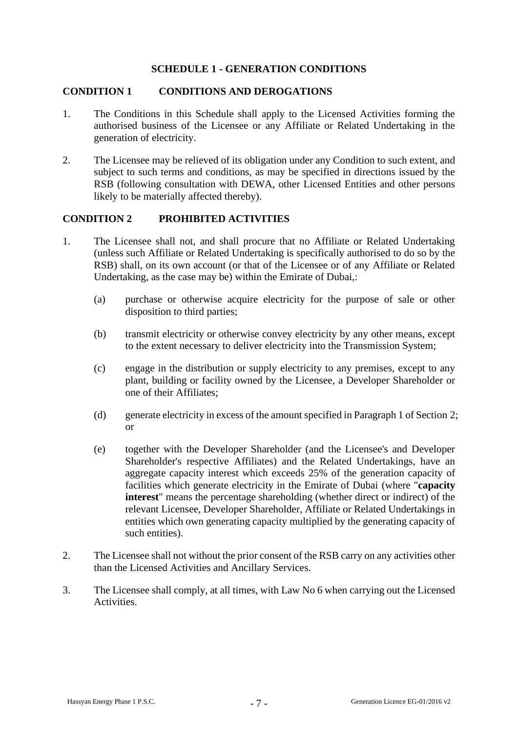### **SCHEDULE 1 - GENERATION CONDITIONS**

#### **CONDITION 1 CONDITIONS AND DEROGATIONS**

- 1. The Conditions in this Schedule shall apply to the Licensed Activities forming the authorised business of the Licensee or any Affiliate or Related Undertaking in the generation of electricity.
- 2. The Licensee may be relieved of its obligation under any Condition to such extent, and subject to such terms and conditions, as may be specified in directions issued by the RSB (following consultation with DEWA, other Licensed Entities and other persons likely to be materially affected thereby).

#### **CONDITION 2 PROHIBITED ACTIVITIES**

- 1. The Licensee shall not, and shall procure that no Affiliate or Related Undertaking (unless such Affiliate or Related Undertaking is specifically authorised to do so by the RSB) shall, on its own account (or that of the Licensee or of any Affiliate or Related Undertaking, as the case may be) within the Emirate of Dubai,:
	- (a) purchase or otherwise acquire electricity for the purpose of sale or other disposition to third parties;
	- (b) transmit electricity or otherwise convey electricity by any other means, except to the extent necessary to deliver electricity into the Transmission System;
	- (c) engage in the distribution or supply electricity to any premises, except to any plant, building or facility owned by the Licensee, a Developer Shareholder or one of their Affiliates;
	- (d) generate electricity in excess of the amount specified in Paragraph 1 of Section 2; or
	- (e) together with the Developer Shareholder (and the Licensee's and Developer Shareholder's respective Affiliates) and the Related Undertakings, have an aggregate capacity interest which exceeds 25% of the generation capacity of facilities which generate electricity in the Emirate of Dubai (where "**capacity interest**" means the percentage shareholding (whether direct or indirect) of the relevant Licensee, Developer Shareholder, Affiliate or Related Undertakings in entities which own generating capacity multiplied by the generating capacity of such entities).
- 2. The Licensee shall not without the prior consent of the RSB carry on any activities other than the Licensed Activities and Ancillary Services.
- 3. The Licensee shall comply, at all times, with Law No 6 when carrying out the Licensed Activities.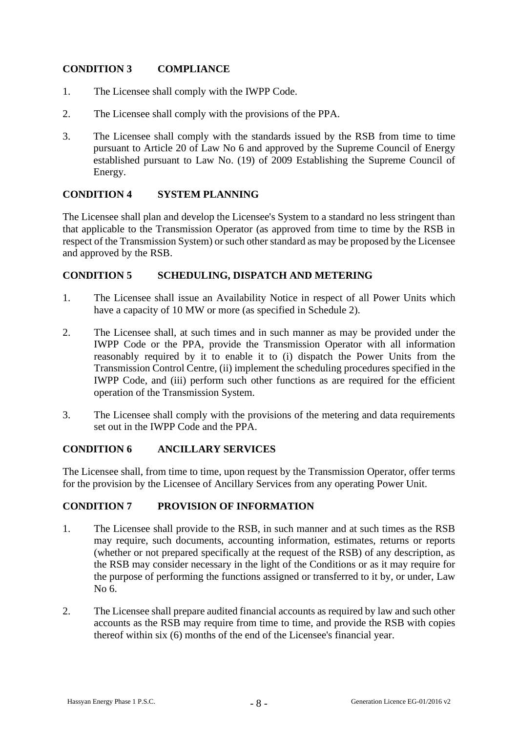## **CONDITION 3 COMPLIANCE**

- 1. The Licensee shall comply with the IWPP Code.
- 2. The Licensee shall comply with the provisions of the PPA.
- 3. The Licensee shall comply with the standards issued by the RSB from time to time pursuant to Article 20 of Law No 6 and approved by the Supreme Council of Energy established pursuant to Law No. (19) of 2009 Establishing the Supreme Council of Energy.

## **CONDITION 4 SYSTEM PLANNING**

The Licensee shall plan and develop the Licensee's System to a standard no less stringent than that applicable to the Transmission Operator (as approved from time to time by the RSB in respect of the Transmission System) or such other standard as may be proposed by the Licensee and approved by the RSB.

## **CONDITION 5 SCHEDULING, DISPATCH AND METERING**

- 1. The Licensee shall issue an Availability Notice in respect of all Power Units which have a capacity of 10 MW or more (as specified in Schedule 2).
- 2. The Licensee shall, at such times and in such manner as may be provided under the IWPP Code or the PPA, provide the Transmission Operator with all information reasonably required by it to enable it to (i) dispatch the Power Units from the Transmission Control Centre, (ii) implement the scheduling procedures specified in the IWPP Code, and (iii) perform such other functions as are required for the efficient operation of the Transmission System.
- 3. The Licensee shall comply with the provisions of the metering and data requirements set out in the IWPP Code and the PPA.

## **CONDITION 6 ANCILLARY SERVICES**

The Licensee shall, from time to time, upon request by the Transmission Operator, offer terms for the provision by the Licensee of Ancillary Services from any operating Power Unit.

## **CONDITION 7 PROVISION OF INFORMATION**

- 1. The Licensee shall provide to the RSB, in such manner and at such times as the RSB may require, such documents, accounting information, estimates, returns or reports (whether or not prepared specifically at the request of the RSB) of any description, as the RSB may consider necessary in the light of the Conditions or as it may require for the purpose of performing the functions assigned or transferred to it by, or under, Law No 6.
- 2. The Licensee shall prepare audited financial accounts as required by law and such other accounts as the RSB may require from time to time, and provide the RSB with copies thereof within six (6) months of the end of the Licensee's financial year.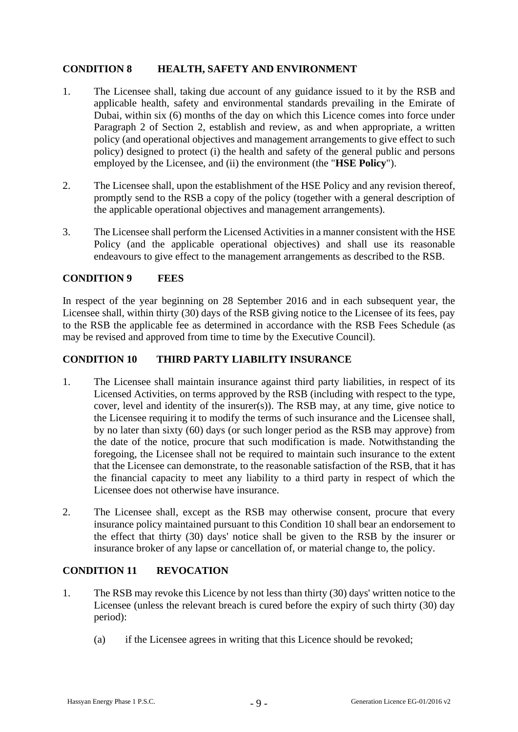## **CONDITION 8 HEALTH, SAFETY AND ENVIRONMENT**

- 1. The Licensee shall, taking due account of any guidance issued to it by the RSB and applicable health, safety and environmental standards prevailing in the Emirate of Dubai, within six (6) months of the day on which this Licence comes into force under Paragraph 2 of Section 2, establish and review, as and when appropriate, a written policy (and operational objectives and management arrangements to give effect to such policy) designed to protect (i) the health and safety of the general public and persons employed by the Licensee, and (ii) the environment (the "**HSE Policy**").
- 2. The Licensee shall, upon the establishment of the HSE Policy and any revision thereof, promptly send to the RSB a copy of the policy (together with a general description of the applicable operational objectives and management arrangements).
- 3. The Licensee shall perform the Licensed Activities in a manner consistent with the HSE Policy (and the applicable operational objectives) and shall use its reasonable endeavours to give effect to the management arrangements as described to the RSB.

#### **CONDITION 9 FEES**

In respect of the year beginning on 28 September 2016 and in each subsequent year, the Licensee shall, within thirty (30) days of the RSB giving notice to the Licensee of its fees, pay to the RSB the applicable fee as determined in accordance with the RSB Fees Schedule (as may be revised and approved from time to time by the Executive Council).

### **CONDITION 10 THIRD PARTY LIABILITY INSURANCE**

- 1. The Licensee shall maintain insurance against third party liabilities, in respect of its Licensed Activities, on terms approved by the RSB (including with respect to the type, cover, level and identity of the insurer(s)). The RSB may, at any time, give notice to the Licensee requiring it to modify the terms of such insurance and the Licensee shall, by no later than sixty (60) days (or such longer period as the RSB may approve) from the date of the notice, procure that such modification is made. Notwithstanding the foregoing, the Licensee shall not be required to maintain such insurance to the extent that the Licensee can demonstrate, to the reasonable satisfaction of the RSB, that it has the financial capacity to meet any liability to a third party in respect of which the Licensee does not otherwise have insurance.
- 2. The Licensee shall, except as the RSB may otherwise consent, procure that every insurance policy maintained pursuant to this Condition 10 shall bear an endorsement to the effect that thirty (30) days' notice shall be given to the RSB by the insurer or insurance broker of any lapse or cancellation of, or material change to, the policy.

## **CONDITION 11 REVOCATION**

- 1. The RSB may revoke this Licence by not less than thirty (30) days' written notice to the Licensee (unless the relevant breach is cured before the expiry of such thirty (30) day period):
	- (a) if the Licensee agrees in writing that this Licence should be revoked;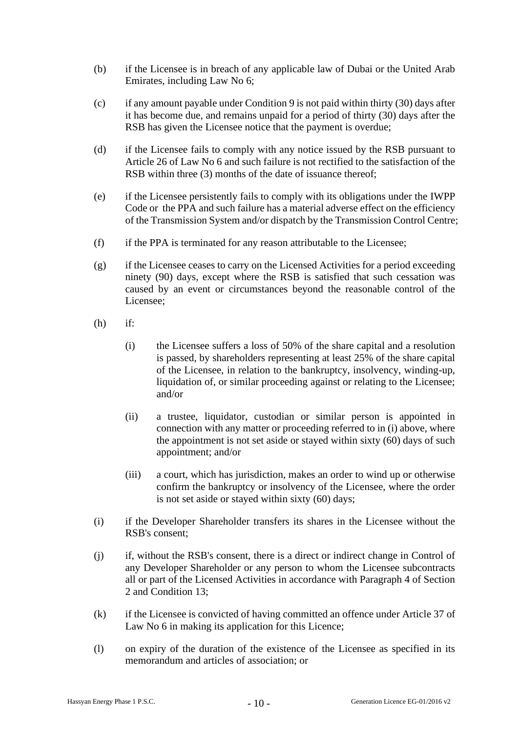- (b) if the Licensee is in breach of any applicable law of Dubai or the United Arab Emirates, including Law No 6;
- (c) if any amount payable under Condition 9 is not paid within thirty (30) days after it has become due, and remains unpaid for a period of thirty (30) days after the RSB has given the Licensee notice that the payment is overdue;
- (d) if the Licensee fails to comply with any notice issued by the RSB pursuant to Article 26 of Law No 6 and such failure is not rectified to the satisfaction of the RSB within three (3) months of the date of issuance thereof;
- (e) if the Licensee persistently fails to comply with its obligations under the IWPP Code or the PPA and such failure has a material adverse effect on the efficiency of the Transmission System and/or dispatch by the Transmission Control Centre;
- (f) if the PPA is terminated for any reason attributable to the Licensee;
- (g) if the Licensee ceases to carry on the Licensed Activities for a period exceeding ninety (90) days, except where the RSB is satisfied that such cessation was caused by an event or circumstances beyond the reasonable control of the Licensee;
- (h) if:
	- (i) the Licensee suffers a loss of 50% of the share capital and a resolution is passed, by shareholders representing at least 25% of the share capital of the Licensee, in relation to the bankruptcy, insolvency, winding-up, liquidation of, or similar proceeding against or relating to the Licensee; and/or
	- (ii) a trustee, liquidator, custodian or similar person is appointed in connection with any matter or proceeding referred to in (i) above, where the appointment is not set aside or stayed within sixty (60) days of such appointment; and/or
	- (iii) a court, which has jurisdiction, makes an order to wind up or otherwise confirm the bankruptcy or insolvency of the Licensee, where the order is not set aside or stayed within sixty (60) days;
- (i) if the Developer Shareholder transfers its shares in the Licensee without the RSB's consent;
- (j) if, without the RSB's consent, there is a direct or indirect change in Control of any Developer Shareholder or any person to whom the Licensee subcontracts all or part of the Licensed Activities in accordance with Paragraph 4 of Section 2 and Condition 13;
- (k) if the Licensee is convicted of having committed an offence under Article 37 of Law No 6 in making its application for this Licence;
- (l) on expiry of the duration of the existence of the Licensee as specified in its memorandum and articles of association; or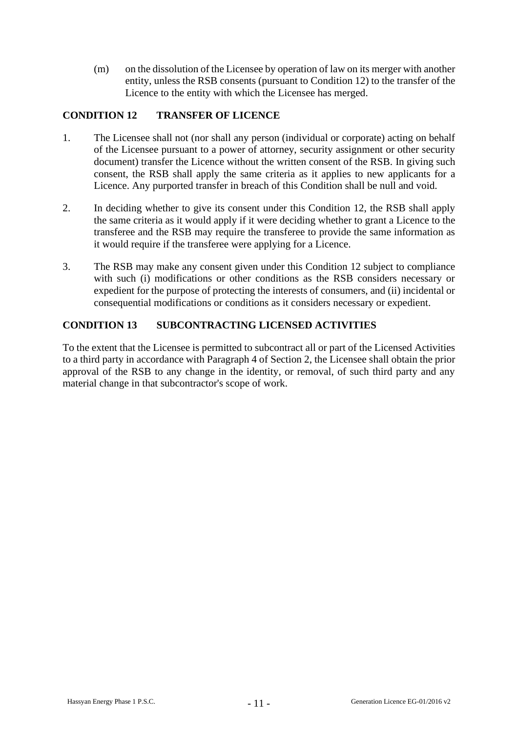(m) on the dissolution of the Licensee by operation of law on its merger with another entity, unless the RSB consents (pursuant to Condition 12) to the transfer of the Licence to the entity with which the Licensee has merged.

## **CONDITION 12 TRANSFER OF LICENCE**

- 1. The Licensee shall not (nor shall any person (individual or corporate) acting on behalf of the Licensee pursuant to a power of attorney, security assignment or other security document) transfer the Licence without the written consent of the RSB. In giving such consent, the RSB shall apply the same criteria as it applies to new applicants for a Licence. Any purported transfer in breach of this Condition shall be null and void.
- 2. In deciding whether to give its consent under this Condition 12, the RSB shall apply the same criteria as it would apply if it were deciding whether to grant a Licence to the transferee and the RSB may require the transferee to provide the same information as it would require if the transferee were applying for a Licence.
- 3. The RSB may make any consent given under this Condition 12 subject to compliance with such (i) modifications or other conditions as the RSB considers necessary or expedient for the purpose of protecting the interests of consumers, and (ii) incidental or consequential modifications or conditions as it considers necessary or expedient.

## **CONDITION 13 SUBCONTRACTING LICENSED ACTIVITIES**

To the extent that the Licensee is permitted to subcontract all or part of the Licensed Activities to a third party in accordance with Paragraph 4 of Section 2, the Licensee shall obtain the prior approval of the RSB to any change in the identity, or removal, of such third party and any material change in that subcontractor's scope of work.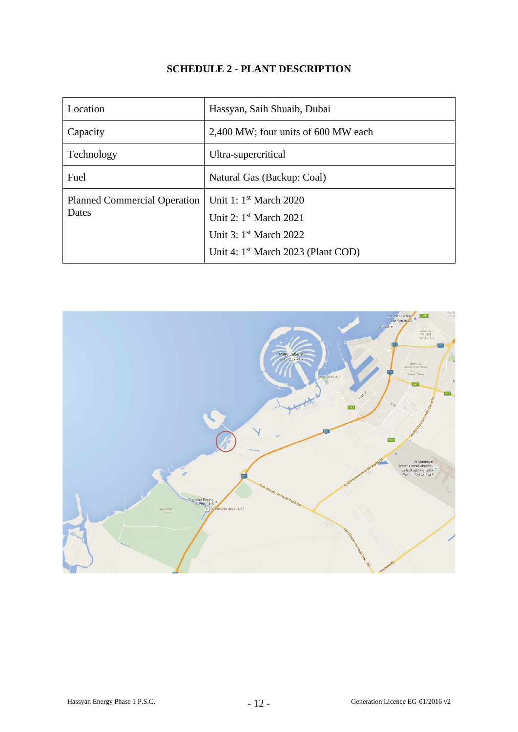## **SCHEDULE 2 - PLANT DESCRIPTION**

| Location                                     | Hassyan, Saih Shuaib, Dubai                                                                                                                          |
|----------------------------------------------|------------------------------------------------------------------------------------------------------------------------------------------------------|
| Capacity                                     | 2,400 MW; four units of 600 MW each                                                                                                                  |
| Technology                                   | Ultra-supercritical                                                                                                                                  |
| Fuel                                         | Natural Gas (Backup: Coal)                                                                                                                           |
| <b>Planned Commercial Operation</b><br>Dates | Unit 1: 1 <sup>st</sup> March 2020<br>Unit 2: 1st March 2021<br>Unit 3: 1 <sup>st</sup> March 2022<br>Unit 4: 1 <sup>st</sup> March 2023 (Plant COD) |

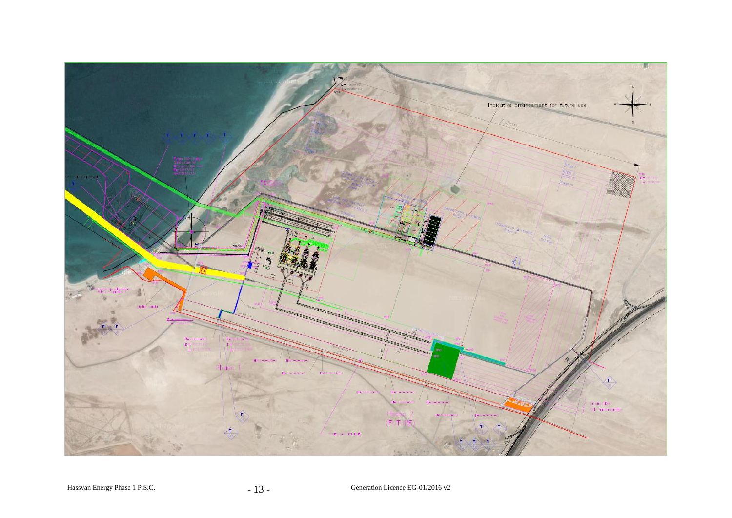